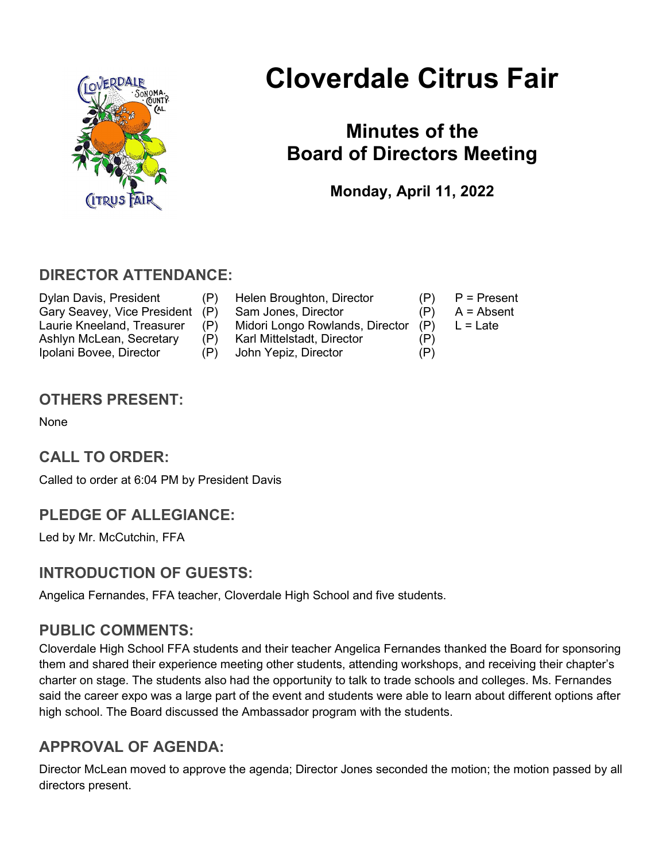

# Cloverdale Citrus Fair

## Minutes of the Board of Directors Meeting

Monday, April 11, 2022

## DIRECTOR ATTENDANCE:

Ipolani Bovee, Director (P) John Yepiz, Director (P)

- Dylan Davis, President (P) Helen Broughton, Director (P) P = Present Gary Seavey, Vice President (P) Sam Jones, Director (P) A = Absent Laurie Kneeland, Treasurer (P) Midori Longo Rowlands, Director (P) L = Late Ashlyn McLean, Secretary (P) Karl Mittelstadt, Director (P)
- -
	-

## OTHERS PRESENT:

None

## CALL TO ORDER:

Called to order at 6:04 PM by President Davis

## PLEDGE OF ALLEGIANCE:

Led by Mr. McCutchin, FFA

## INTRODUCTION OF GUESTS:

Angelica Fernandes, FFA teacher, Cloverdale High School and five students.

## PUBLIC COMMENTS:

Cloverdale High School FFA students and their teacher Angelica Fernandes thanked the Board for sponsoring them and shared their experience meeting other students, attending workshops, and receiving their chapter's charter on stage. The students also had the opportunity to talk to trade schools and colleges. Ms. Fernandes said the career expo was a large part of the event and students were able to learn about different options after high school. The Board discussed the Ambassador program with the students.

## APPROVAL OF AGENDA:

Director McLean moved to approve the agenda; Director Jones seconded the motion; the motion passed by all directors present.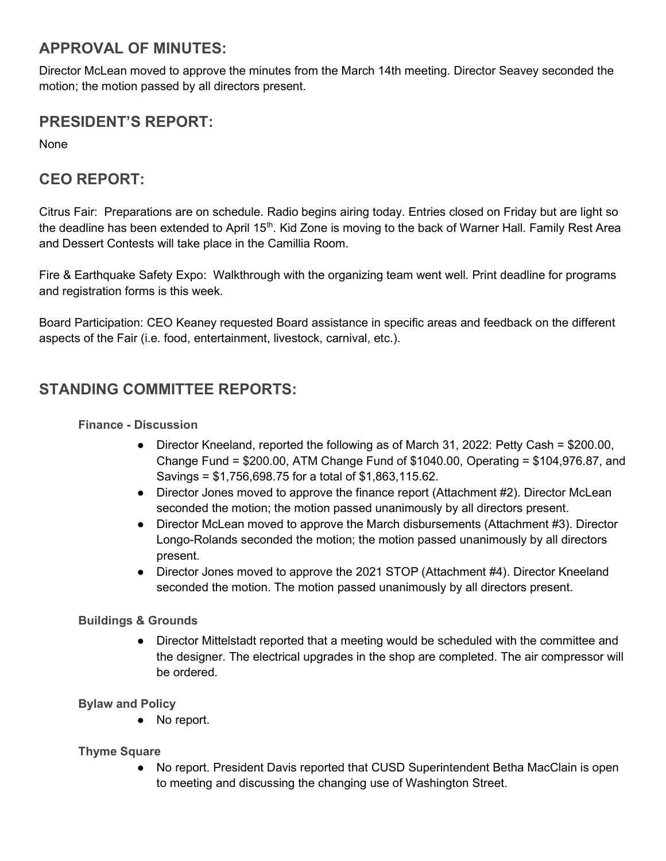## APPROVAL OF MINUTES:

Director McLean moved to approve the minutes from the March 14th meeting. Director Seavey seconded the motion; the motion passed by all directors present.

## PRESIDENT'S REPORT:

None

## CEO REPORT:

Citrus Fair: Preparations are on schedule. Radio begins airing today. Entries closed on Friday but are light so the deadline has been extended to April 15<sup>th</sup>. Kid Zone is moving to the back of Warner Hall. Family Rest Area and Dessert Contests will take place in the Camillia Room.

Fire & Earthquake Safety Expo: Walkthrough with the organizing team went well. Print deadline for programs and registration forms is this week.

Board Participation: CEO Keaney requested Board assistance in specific areas and feedback on the different aspects of the Fair (i.e. food, entertainment, livestock, carnival, etc.).

## STANDING COMMITTEE REPORTS:

#### Finance - Discussion

- Director Kneeland, reported the following as of March 31, 2022: Petty Cash = \$200.00, Change Fund = \$200.00, ATM Change Fund of \$1040.00, Operating = \$104,976.87, and Savings = \$1,756,698.75 for a total of \$1,863,115.62.
- Director Jones moved to approve the finance report (Attachment #2). Director McLean seconded the motion; the motion passed unanimously by all directors present.
- Director McLean moved to approve the March disbursements (Attachment #3). Director Longo-Rolands seconded the motion; the motion passed unanimously by all directors present.
- Director Jones moved to approve the 2021 STOP (Attachment #4). Director Kneeland seconded the motion. The motion passed unanimously by all directors present.

#### Buildings & Grounds

● Director Mittelstadt reported that a meeting would be scheduled with the committee and the designer. The electrical upgrades in the shop are completed. The air compressor will be ordered.

#### Bylaw and Policy

● No report.

#### Thyme Square

No report. President Davis reported that CUSD Superintendent Betha MacClain is open to meeting and discussing the changing use of Washington Street.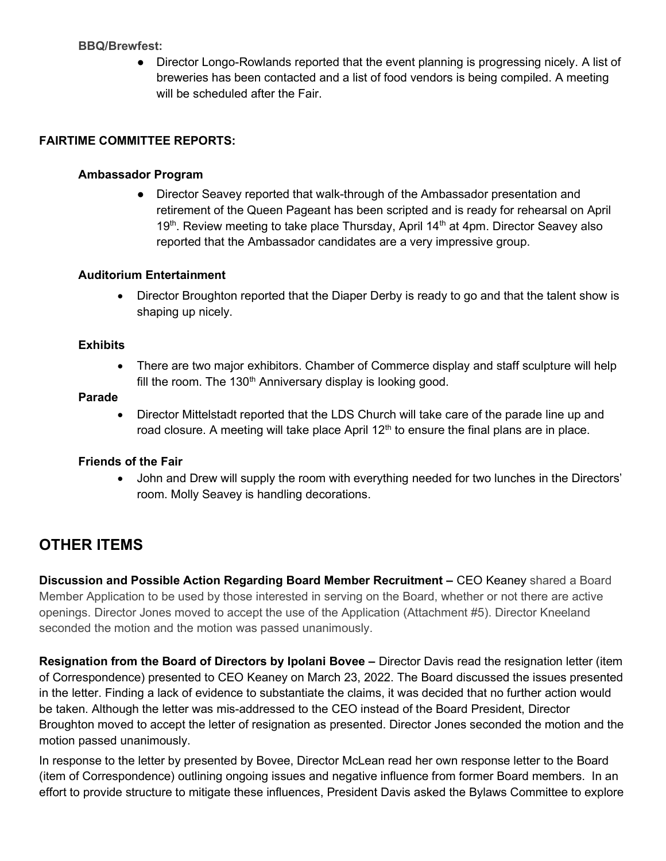#### BBQ/Brewfest:

● Director Longo-Rowlands reported that the event planning is progressing nicely. A list of breweries has been contacted and a list of food vendors is being compiled. A meeting will be scheduled after the Fair.

#### FAIRTIME COMMITTEE REPORTS:

#### Ambassador Program

• Director Seavey reported that walk-through of the Ambassador presentation and retirement of the Queen Pageant has been scripted and is ready for rehearsal on April 19<sup>th</sup>. Review meeting to take place Thursday, April 14<sup>th</sup> at 4pm. Director Seavey also reported that the Ambassador candidates are a very impressive group.

#### Auditorium Entertainment

• Director Broughton reported that the Diaper Derby is ready to go and that the talent show is shaping up nicely.

#### **Exhibits**

• There are two major exhibitors. Chamber of Commerce display and staff sculpture will help fill the room. The 130<sup>th</sup> Anniversary display is looking good.

#### Parade

• Director Mittelstadt reported that the LDS Church will take care of the parade line up and road closure. A meeting will take place April  $12<sup>th</sup>$  to ensure the final plans are in place.

#### Friends of the Fair

 John and Drew will supply the room with everything needed for two lunches in the Directors' room. Molly Seavey is handling decorations.

## OTHER ITEMS

Discussion and Possible Action Regarding Board Member Recruitment - CEO Keaney shared a Board Member Application to be used by those interested in serving on the Board, whether or not there are active openings. Director Jones moved to accept the use of the Application (Attachment #5). Director Kneeland seconded the motion and the motion was passed unanimously.

Resignation from the Board of Directors by Ipolani Bovee – Director Davis read the resignation letter (item of Correspondence) presented to CEO Keaney on March 23, 2022. The Board discussed the issues presented in the letter. Finding a lack of evidence to substantiate the claims, it was decided that no further action would be taken. Although the letter was mis-addressed to the CEO instead of the Board President, Director Broughton moved to accept the letter of resignation as presented. Director Jones seconded the motion and the motion passed unanimously.

In response to the letter by presented by Bovee, Director McLean read her own response letter to the Board (item of Correspondence) outlining ongoing issues and negative influence from former Board members. In an effort to provide structure to mitigate these influences, President Davis asked the Bylaws Committee to explore